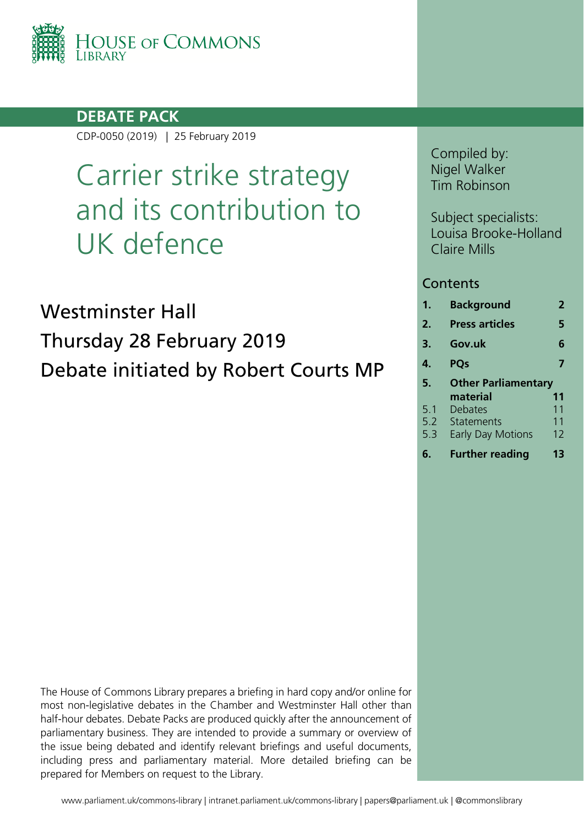

### **DEBATE PACK**

CDP-0050 (2019) | 25 February 2019

# Carrier strike strategy and its contribution to UK defence

Westminster Hall Thursday 28 February 2019 Debate initiated by Robert Courts MP Compiled by: Nigel Walker Tim Robinson

Subject specialists: Louisa Brooke-Holland Claire Mills

### **Contents**

| $\mathbf 1$ . | <b>Background</b>          | 2  |
|---------------|----------------------------|----|
| 2.            | <b>Press articles</b>      | 5  |
| 3.            | Gov.uk                     | 6  |
| 4.            | <b>POs</b>                 | 7  |
|               |                            |    |
| 5.            | <b>Other Parliamentary</b> |    |
|               | material                   | 11 |
| 5.1           | Debates                    | 11 |
| 5.2           | Statements                 | 11 |
| 5.3           | <b>Early Day Motions</b>   | 12 |

**6. [Further reading](#page-12-0) 13**

The House of Commons Library prepares a briefing in hard copy and/or online for most non-legislative debates in the Chamber and Westminster Hall other than half-hour debates. Debate Packs are produced quickly after the announcement of parliamentary business. They are intended to provide a summary or overview of the issue being debated and identify relevant briefings and useful documents, including press and parliamentary material. More detailed briefing can be prepared for Members on request to the Library.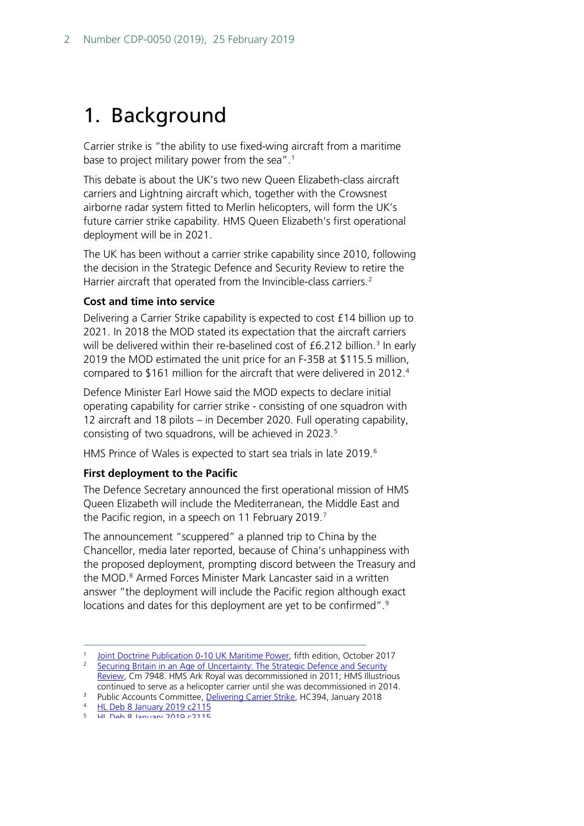## <span id="page-1-0"></span>1. Background

Carrier strike is "the ability to use fixed-wing aircraft from a maritime base to project military power from the sea".<sup>[1](#page-1-1)</sup>

This debate is about the UK's two new Queen Elizabeth-class aircraft carriers and Lightning aircraft which, together with the Crowsnest airborne radar system fitted to Merlin helicopters, will form the UK's future carrier strike capability. HMS Queen Elizabeth's first operational deployment will be in 2021.

The UK has been without a carrier strike capability since 2010, following the decision in the Strategic Defence and Security Review to retire the Harrier aircraft that operated from the Invincible-class carriers.<sup>[2](#page-1-2)</sup>

### **Cost and time into service**

Delivering a Carrier Strike capability is expected to cost £14 billion up to 2021. In 2018 the MOD stated its expectation that the aircraft carriers will be delivered within their re-baselined cost of £6.212 billion.<sup>[3](#page-1-3)</sup> In early 2019 the MOD estimated the unit price for an F-35B at \$115.5 million, compared to \$161 million for the aircraft that were delivered in 2012.[4](#page-1-4)

Defence Minister Earl Howe said the MOD expects to declare initial operating capability for carrier strike - consisting of one squadron with 12 aircraft and 18 pilots – in December 2020. Full operating capability, consisting of two squadrons, will be achieved in 2023.<sup>[5](#page-1-5)</sup>

HMS Prince of Wales is expected to start sea trials in late 2019.<sup>[6](#page-1-6)</sup>

### **First deployment to the Pacific**

The Defence Secretary announced the first operational mission of HMS Queen Elizabeth will include the Mediterranean, the Middle East and the Pacific region, in a speech on 11 February 2019.<sup>[7](#page-1-7)</sup>

The announcement "scuppered" a planned trip to China by the Chancellor, media later reported, because of China's unhappiness with the proposed deployment, prompting discord between the Treasury and the MOD.<sup>[8](#page-1-8)</sup> Armed Forces Minister Mark Lancaster said in a written answer "the deployment will include the Pacific region although exact locations and dates for this deployment are yet to be confirmed".<sup>[9](#page-1-9)</sup>

[Joint Doctrine Publication 0-10 UK Maritime Power,](https://assets.publishing.service.gov.uk/government/uploads/system/uploads/attachment_data/file/662000/doctrine_uk_maritime_power_jdp_0_10.pdf) fifth edition, October 2017

<span id="page-1-2"></span><span id="page-1-1"></span><sup>&</sup>lt;sup>2</sup> Securing Britain in an Age of Uncertainty: The Strategic Defence and Security

[Review,](https://assets.publishing.service.gov.uk/government/uploads/system/uploads/attachment_data/file/62482/strategic-defence-security-review.pdf) Cm 7948. HMS Ark Royal was decommissioned in 2011; HMS Illustrious continued to serve as a helicopter carrier until she was decommissioned in 2014.

Public Accounts Committee, <u>Delivering Carrier Strike</u>, HC394, January 2018<br><sup>4</sup> [HL Deb 8 January 2019 c2115](https://hansard.parliament.uk/Lords/2019-01-08/debates/56270BE6-4208-433D-B422-F838CCC496EC/RAFOperationalConversionUnit#contribution-FB193330-FF87-43E4-B2DC-959BD5B52D1F)<br>5 HL Deb 8 January 2019 c2115

<span id="page-1-9"></span><span id="page-1-8"></span><span id="page-1-7"></span><span id="page-1-6"></span><span id="page-1-5"></span><span id="page-1-4"></span><span id="page-1-3"></span> $\frac{4}{5}$  [HL Deb 8 January 2019 c2115](https://hansard.parliament.uk/Lords/2019-01-08/debates/56270BE6-4208-433D-B422-F838CCC496EC/RAFOperationalConversionUnit#contribution-84E43113-3E1B-4EFC-84D5-33046B10F929)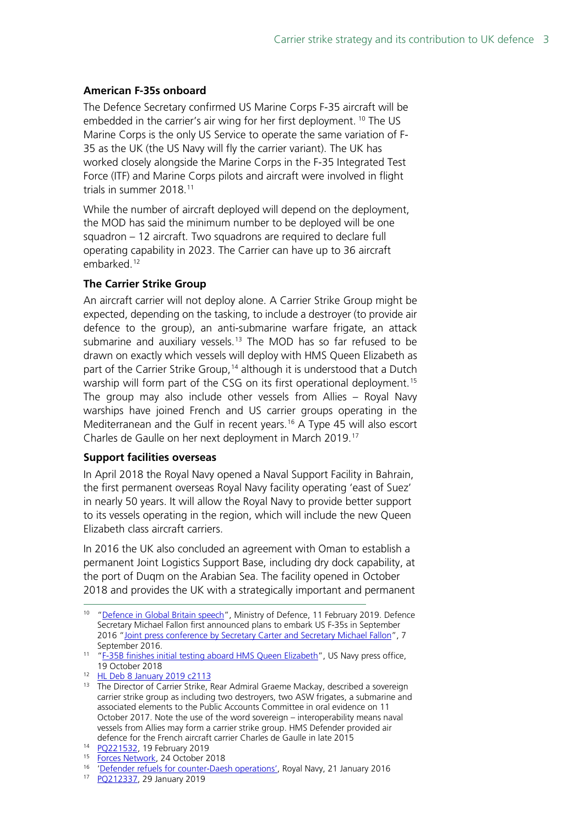### **American F-35s onboard**

The Defence Secretary confirmed US Marine Corps F-35 aircraft will be embedded in the carrier's air wing for her first deployment. <sup>[10](#page-2-0)</sup> The US Marine Corps is the only US Service to operate the same variation of F-35 as the UK (the US Navy will fly the carrier variant). The UK has worked closely alongside the Marine Corps in the F-35 Integrated Test Force (ITF) and Marine Corps pilots and aircraft were involved in flight trials in summer 2018.[11](#page-2-1)

While the number of aircraft deployed will depend on the deployment, the MOD has said the minimum number to be deployed will be one squadron – 12 aircraft. Two squadrons are required to declare full operating capability in 2023. The Carrier can have up to 36 aircraft embarked.<sup>[12](#page-2-2)</sup>

### **The Carrier Strike Group**

An aircraft carrier will not deploy alone. A Carrier Strike Group might be expected, depending on the tasking, to include a destroyer (to provide air defence to the group), an anti-submarine warfare frigate, an attack submarine and auxiliary vessels.<sup>[13](#page-2-3)</sup> The MOD has so far refused to be drawn on exactly which vessels will deploy with HMS Queen Elizabeth as part of the Carrier Strike Group,<sup>[14](#page-2-4)</sup> although it is understood that a Dutch warship will form part of the CSG on its first operational deployment.<sup>[15](#page-2-5)</sup> The group may also include other vessels from Allies – Royal Navy warships have joined French and US carrier groups operating in the Mediterranean and the Gulf in recent years.<sup>[16](#page-2-6)</sup> A Type 45 will also escort Charles de Gaulle on her next deployment in March 2019.[17](#page-2-7)

### **Support facilities overseas**

In April 2018 the Royal Navy opened a Naval Support Facility in Bahrain, the first permanent overseas Royal Navy facility operating 'east of Suez' in nearly 50 years. It will allow the Royal Navy to provide better support to its vessels operating in the region, which will include the new Queen Elizabeth class aircraft carriers.

In 2016 the UK also concluded an agreement with Oman to establish a permanent Joint Logistics Support Base, including dry dock capability, at the port of Duqm on the Arabian Sea. The facility opened in October 2018 and provides the UK with a strategically important and permanent

<span id="page-2-0"></span><sup>&</sup>lt;sup>10</sup> ["Defence in Global Britain speech"](file://mweb010/Enquiries/IADS%20-%20International%20Affairs%20and%20Defence/2019/02Feb/will%20include%20the%20Mediterranean,%20the%20Middle%20East%20and%20the%20Pacific%20region.), Ministry of Defence, 11 February 2019. Defence Secretary Michael Fallon first announced plans to embark US F-35s in September 2016 ["Joint press conference by Secretary Carter and Secretary Michael Fallon"](https://dod.defense.gov/News/Transcripts/Transcript-View/Article/937142/joint-press-conference-by-secretary-carter-and-secretary-michael-fallon/), 7 September 2016.

<span id="page-2-1"></span><sup>&</sup>lt;sup>11</sup> ["F-35B finishes initial testing aboard HMS Queen Elizabeth"](https://www.navy.mil/submit/display.asp?story_id=107504), US Navy press office, 19 October 2018

<span id="page-2-2"></span><sup>12</sup> [HL Deb 8 January 2019 c2113](https://hansard.parliament.uk/Lords/2019-01-08/debates/56270BE6-4208-433D-B422-F838CCC496EC/RAFOperationalConversionUnit#contribution-A191AAF3-9EE2-4145-9D93-518B9062C12C)

<span id="page-2-3"></span><sup>&</sup>lt;sup>13</sup> The Director of Carrier Strike, Rear Admiral Graeme Mackay, described a sovereign carrier strike group as including two destroyers, two ASW frigates, a submarine and associated elements to the Public Accounts Committee in oral evidence on 11 October 2017. Note the use of the word sovereign – interoperability means naval vessels from Allies may form a carrier strike group. HMS Defender provided air defence for the French aircraft carrier Charles de Gaulle in late 2015

<span id="page-2-4"></span><sup>&</sup>lt;sup>14</sup> PO221532, 19 February 2019<br><sup>15</sup> Forces Network, 24 October 2018

<span id="page-2-6"></span><span id="page-2-5"></span><sup>&</sup>lt;sup>16</sup> ['Defender refuels for counter-Daesh operations',](https://www.royalnavy.mod.uk/news-and-latest-activity/news/2016/january/21/160121-defender-refuels-in-the-gulf) Royal Navy, 21 January 2016

<span id="page-2-7"></span><sup>17</sup> [PQ212337,](http://www.parliament.uk/written-questions-answers-statements/written-question/commons/2019-01-24/212337) 29 January 2019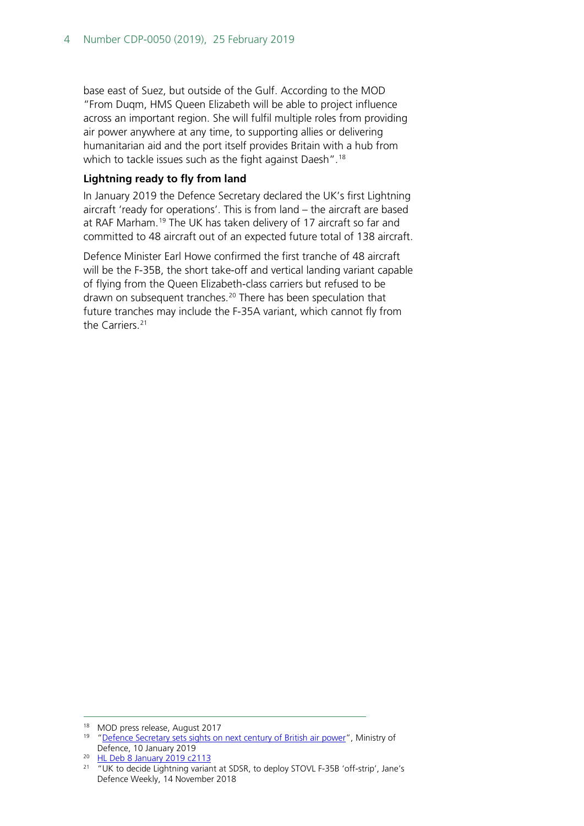base east of Suez, but outside of the Gulf. According to the MOD "From Duqm, HMS Queen Elizabeth will be able to project influence across an important region. She will fulfil multiple roles from providing air power anywhere at any time, to supporting allies or delivering humanitarian aid and the port itself provides Britain with a hub from which to tackle issues such as the fight against Daesh".<sup>[18](#page-3-0)</sup>

### **Lightning ready to fly from land**

In January 2019 the Defence Secretary declared the UK's first Lightning aircraft 'ready for operations'. This is from land – the aircraft are based at RAF Marham.<sup>[19](#page-3-1)</sup> The UK has taken delivery of 17 aircraft so far and committed to 48 aircraft out of an expected future total of 138 aircraft.

Defence Minister Earl Howe confirmed the first tranche of 48 aircraft will be the F-35B, the short take-off and vertical landing variant capable of flying from the Queen Elizabeth-class carriers but refused to be drawn on subsequent tranches.<sup>[20](#page-3-2)</sup> There has been speculation that future tranches may include the F-35A variant, which cannot fly from the Carriers.<sup>[21](#page-3-3)</sup>

<span id="page-3-1"></span><span id="page-3-0"></span><sup>&</sup>lt;sup>18</sup> MOD press release, August 2017<br><sup>19</sup> ["Defence Secretary sets sights on next century of British air power"](https://www.gov.uk/government/news/defence-secretary-sets-sights-on-next-century-of-british-air-power), Ministry of Defence, 10 January 2019

<span id="page-3-2"></span><sup>20</sup> [HL Deb 8 January 2019 c2113](https://hansard.parliament.uk/Lords/2019-01-08/debates/56270BE6-4208-433D-B422-F838CCC496EC/RAFOperationalConversionUnit#contribution-A191AAF3-9EE2-4145-9D93-518B9062C12C)

<span id="page-3-3"></span><sup>&</sup>lt;sup>21</sup> "UK to decide Lightning variant at SDSR, to deploy STOVL F-35B 'off-strip', Jane's Defence Weekly, 14 November 2018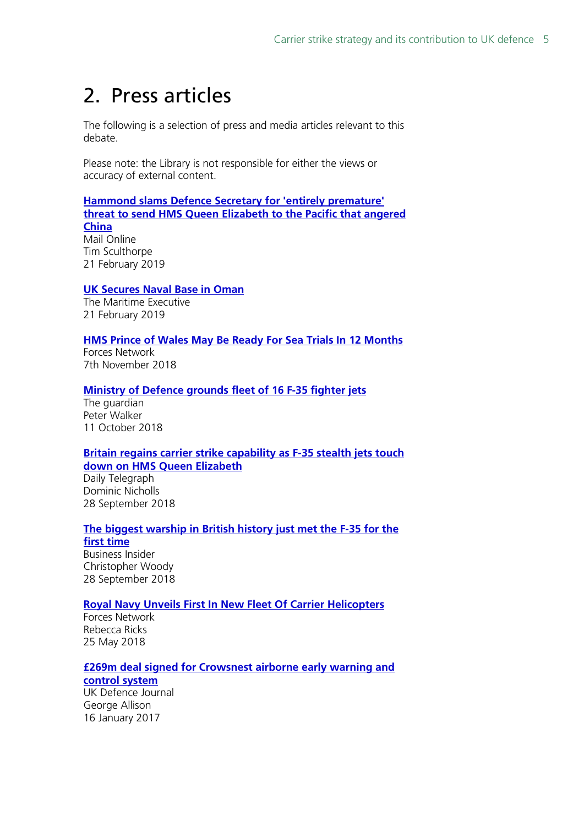## <span id="page-4-0"></span>2. Press articles

The following is a selection of press and media articles relevant to this debate.

Please note: the Library is not responsible for either the views or accuracy of external content.

### **[Hammond slams Defence Secretary for 'entirely premature'](https://www.dailymail.co.uk/news/article-6729279/Hammond-slams-Defence-Secretary-entirely-premature-carrier-threat.html)  [threat to send HMS Queen Elizabeth to the Pacific that angered](https://www.dailymail.co.uk/news/article-6729279/Hammond-slams-Defence-Secretary-entirely-premature-carrier-threat.html)  [China](https://www.dailymail.co.uk/news/article-6729279/Hammond-slams-Defence-Secretary-entirely-premature-carrier-threat.html)** Mail Online Tim Sculthorpe 21 February 2019

### **[UK Secures Naval Base in Oman](https://www.maritime-executive.com/article/uk-secures-naval-base-in-oman)**

The Maritime Executive 21 February 2019

### **[HMS Prince of Wales May Be Ready For Sea Trials In 12 Months](https://www.forces.net/news/hms-prince-wales-may-be-ready-sea-trails-12-months)**

Forces Network 7th November 2018

### **[Ministry of Defence grounds fleet of 16 F-35 fighter jets](https://www.theguardian.com/uk-news/2018/oct/11/ministry-of-defence-grounds-fleet-of-16-new-f-35-fighter-jets)**

The guardian Peter Walker 11 October 2018

### **[Britain regains carrier strike capability as F-35 stealth jets touch](https://www.telegraph.co.uk/news/2018/09/28/britain-regains-carrier-strike-capability-f-35-stealth-jets/)  [down on HMS Queen Elizabeth](https://www.telegraph.co.uk/news/2018/09/28/britain-regains-carrier-strike-capability-f-35-stealth-jets/)**

Daily Telegraph Dominic Nicholls 28 September 2018

### **[The biggest warship in British history just met the F-35 for the](https://www.businessinsider.com/us-f-35s-land-on-british-hms-queen-elizabeth-aircraft-carrier-2018-9?r=US&IR=T)**

**[first time](https://www.businessinsider.com/us-f-35s-land-on-british-hms-queen-elizabeth-aircraft-carrier-2018-9?r=US&IR=T)** Business Insider Christopher Woody 28 September 2018

### **[Royal Navy Unveils First In New Fleet Of Carrier Helicopters](https://www.forces.net/news/royal-navy-unveils-first-new-fleet-carrier-helicopters)**

Forces Network Rebecca Ricks 25 May 2018

### **[£269m deal signed for Crowsnest airborne early warning and](https://ukdefencejournal.org.uk/269m-deal-signed-crowsnest-airborne-early-warning-control-system/)**

**[control system](https://ukdefencejournal.org.uk/269m-deal-signed-crowsnest-airborne-early-warning-control-system/)** UK Defence Journal George Allison 16 January 2017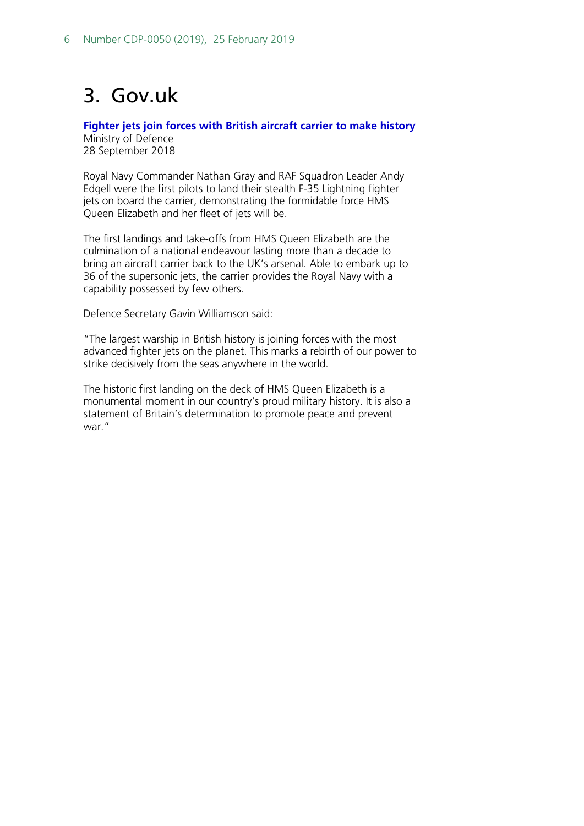## <span id="page-5-0"></span>3. Gov.uk

**[Fighter jets join forces with British aircraft carrier to make history](https://www.gov.uk/government/news/fighter-jets-join-forces-with-british-aircraft-carrier-to-make-history)** Ministry of Defence 28 September 2018

Royal Navy Commander Nathan Gray and RAF Squadron Leader Andy Edgell were the first pilots to land their stealth F-35 Lightning fighter jets on board the carrier, demonstrating the formidable force HMS Queen Elizabeth and her fleet of jets will be.

The first landings and take-offs from HMS Queen Elizabeth are the culmination of a national endeavour lasting more than a decade to bring an aircraft carrier back to the UK's arsenal. Able to embark up to 36 of the supersonic jets, the carrier provides the Royal Navy with a capability possessed by few others.

Defence Secretary Gavin Williamson said:

"The largest warship in British history is joining forces with the most advanced fighter jets on the planet. This marks a rebirth of our power to strike decisively from the seas anywhere in the world.

The historic first landing on the deck of HMS Queen Elizabeth is a monumental moment in our country's proud military history. It is also a statement of Britain's determination to promote peace and prevent war."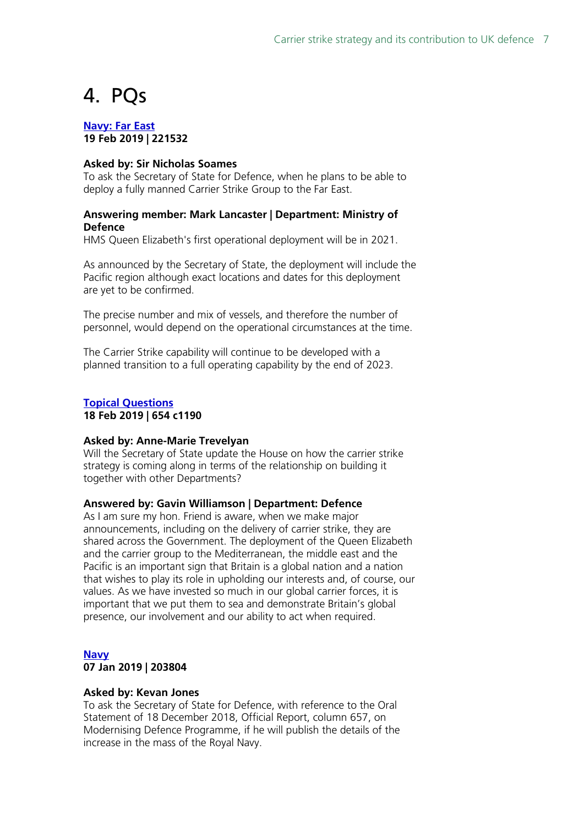## <span id="page-6-0"></span>4. PQs

**[Navy: Far East](http://www.parliament.uk/written-questions-answers-statements/written-question/commons/2019-02-14/221532) 19 Feb 2019 | 221532**

### **Asked by: Sir Nicholas Soames**

To ask the Secretary of State for Defence, when he plans to be able to deploy a fully manned Carrier Strike Group to the Far East.

### **Answering member: Mark Lancaster | Department: Ministry of Defence**

HMS Queen Elizabeth's first operational deployment will be in 2021.

As announced by the Secretary of State, the deployment will include the Pacific region although exact locations and dates for this deployment are yet to be confirmed.

The precise number and mix of vessels, and therefore the number of personnel, would depend on the operational circumstances at the time.

The Carrier Strike capability will continue to be developed with a planned transition to a full operating capability by the end of 2023.

### **[Topical Questions](https://hansard.parliament.uk/pa/cm201719/cmhansrd/cm190218/debtext/190218-0001.htm#AD1CC5EF-66D7-4102-AC40-4EB6333EA6CA) 18 Feb 2019 | 654 c1190**

#### **Asked by: Anne-Marie Trevelyan**

Will the Secretary of State update the House on how the carrier strike strategy is coming along in terms of the relationship on building it together with other Departments?

### **Answered by: Gavin Williamson | Department: Defence**

As I am sure my hon. Friend is aware, when we make major announcements, including on the delivery of carrier strike, they are shared across the Government. The deployment of the Queen Elizabeth and the carrier group to the Mediterranean, the middle east and the Pacific is an important sign that Britain is a global nation and a nation that wishes to play its role in upholding our interests and, of course, our values. As we have invested so much in our global carrier forces, it is important that we put them to sea and demonstrate Britain's global presence, our involvement and our ability to act when required.

### **[Navy](http://www.parliament.uk/written-questions-answers-statements/written-question/commons/2018-12-19/203804) 07 Jan 2019 | 203804**

#### **Asked by: Kevan Jones**

To ask the Secretary of State for Defence, with reference to the Oral Statement of 18 December 2018, Official Report, column 657, on Modernising Defence Programme, if he will publish the details of the increase in the mass of the Royal Navy.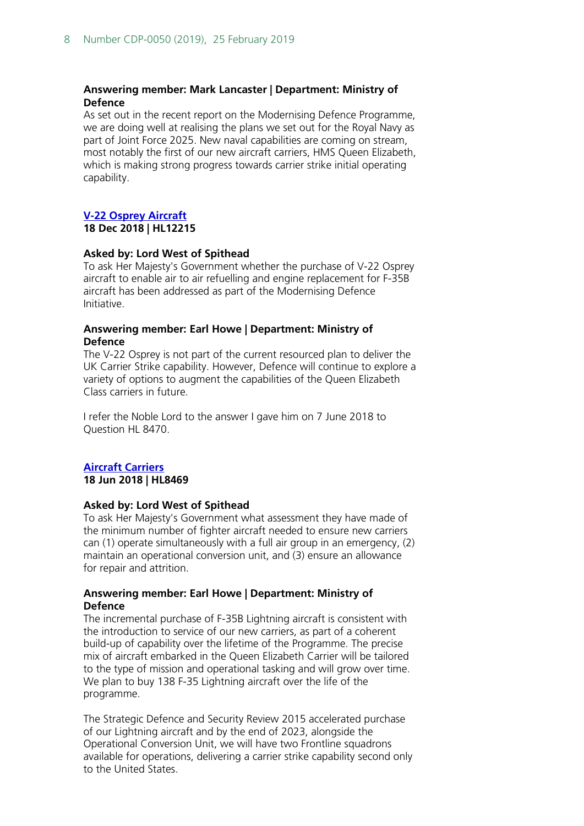### **Answering member: Mark Lancaster | Department: Ministry of Defence**

As set out in the recent report on the Modernising Defence Programme, we are doing well at realising the plans we set out for the Royal Navy as part of Joint Force 2025. New naval capabilities are coming on stream, most notably the first of our new aircraft carriers, HMS Queen Elizabeth, which is making strong progress towards carrier strike initial operating capability.

### **[V-22 Osprey Aircraft](http://www.parliament.uk/written-questions-answers-statements/written-question/lords/2018-12-11/HL12215)**

**18 Dec 2018 | HL12215**

### **Asked by: Lord West of Spithead**

To ask Her Majesty's Government whether the purchase of V-22 Osprey aircraft to enable air to air refuelling and engine replacement for F-35B aircraft has been addressed as part of the Modernising Defence Initiative.

### **Answering member: Earl Howe | Department: Ministry of Defence**

The V-22 Osprey is not part of the current resourced plan to deliver the UK Carrier Strike capability. However, Defence will continue to explore a variety of options to augment the capabilities of the Queen Elizabeth Class carriers in future.

I refer the Noble Lord to the answer I gave him on 7 June 2018 to Question HL 8470.

### **[Aircraft Carriers](http://www.parliament.uk/written-questions-answers-statements/written-question/lords/2018-06-07/HL8469)**

**18 Jun 2018 | HL8469**

### **Asked by: Lord West of Spithead**

To ask Her Majesty's Government what assessment they have made of the minimum number of fighter aircraft needed to ensure new carriers can (1) operate simultaneously with a full air group in an emergency, (2) maintain an operational conversion unit, and (3) ensure an allowance for repair and attrition.

### **Answering member: Earl Howe | Department: Ministry of Defence**

The incremental purchase of F-35B Lightning aircraft is consistent with the introduction to service of our new carriers, as part of a coherent build-up of capability over the lifetime of the Programme. The precise mix of aircraft embarked in the Queen Elizabeth Carrier will be tailored to the type of mission and operational tasking and will grow over time. We plan to buy 138 F-35 Lightning aircraft over the life of the programme.

The Strategic Defence and Security Review 2015 accelerated purchase of our Lightning aircraft and by the end of 2023, alongside the Operational Conversion Unit, we will have two Frontline squadrons available for operations, delivering a carrier strike capability second only to the United States.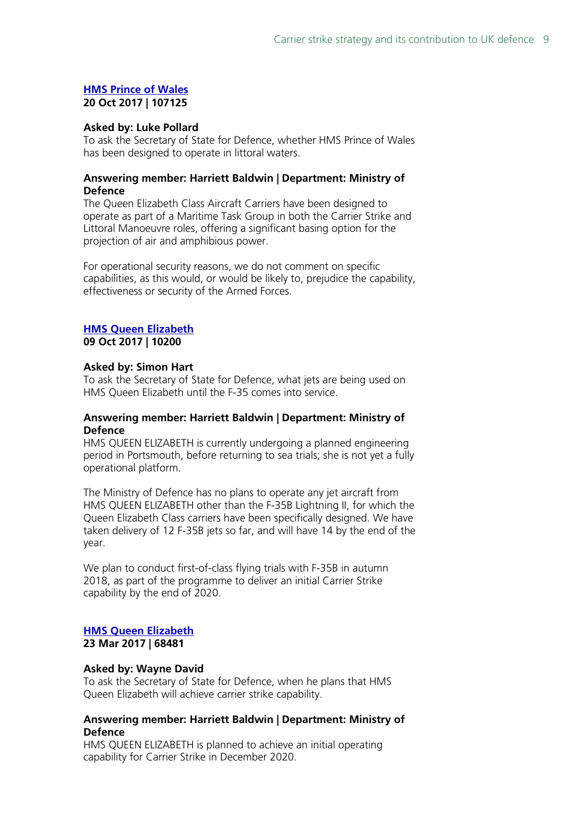### **[HMS Prince of Wales](http://www.parliament.uk/written-questions-answers-statements/written-question/commons/2017-10-11/107125) 20 Oct 2017 | 107125**

#### **Asked by: Luke Pollard**

To ask the Secretary of State for Defence, whether HMS Prince of Wales has been designed to operate in littoral waters.

### **Answering member: Harriett Baldwin | Department: Ministry of Defence**

The Queen Elizabeth Class Aircraft Carriers have been designed to operate as part of a Maritime Task Group in both the Carrier Strike and Littoral Manoeuvre roles, offering a significant basing option for the projection of air and amphibious power.

For operational security reasons, we do not comment on specific capabilities, as this would, or would be likely to, prejudice the capability, effectiveness or security of the Armed Forces.

#### **[HMS Queen Elizabeth](http://www.parliament.uk/written-questions-answers-statements/written-question/commons/2017-09-12/10200) 09 Oct 2017 | 10200**

### **Asked by: Simon Hart**

To ask the Secretary of State for Defence, what jets are being used on HMS Queen Elizabeth until the F-35 comes into service.

### **Answering member: Harriett Baldwin | Department: Ministry of Defence**

HMS QUEEN ELIZABETH is currently undergoing a planned engineering period in Portsmouth, before returning to sea trials; she is not yet a fully operational platform.

The Ministry of Defence has no plans to operate any jet aircraft from HMS QUEEN ELIZABETH other than the F-35B Lightning II, for which the Queen Elizabeth Class carriers have been specifically designed. We have taken delivery of 12 F-35B jets so far, and will have 14 by the end of the year.

We plan to conduct first-of-class flying trials with F-35B in autumn 2018, as part of the programme to deliver an initial Carrier Strike capability by the end of 2020.

### **[HMS Queen Elizabeth](http://www.parliament.uk/written-questions-answers-statements/written-question/commons/2017-03-20/68481) 23 Mar 2017 | 68481**

### **Asked by: Wayne David**

To ask the Secretary of State for Defence, when he plans that HMS Queen Elizabeth will achieve carrier strike capability.

### **Answering member: Harriett Baldwin | Department: Ministry of Defence**

HMS QUEEN ELIZABETH is planned to achieve an initial operating capability for Carrier Strike in December 2020.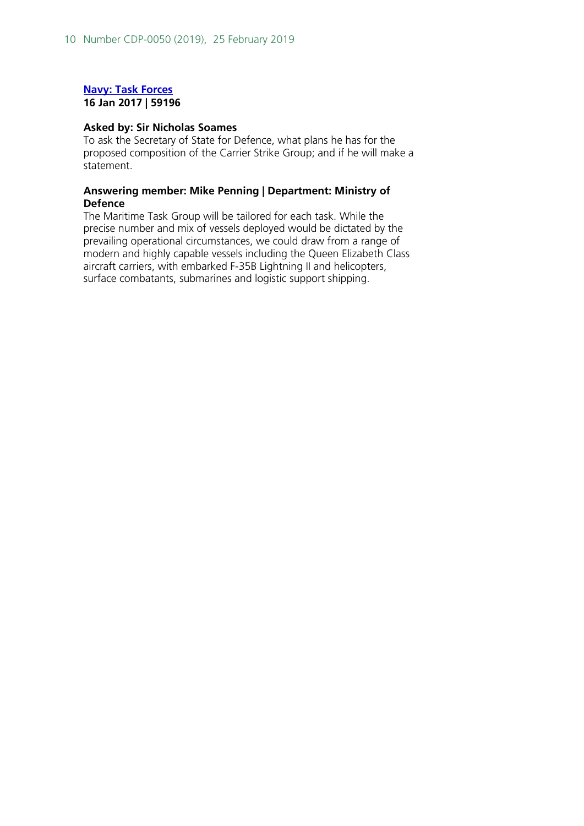### **[Navy: Task Forces](http://www.parliament.uk/written-questions-answers-statements/written-question/commons/2017-01-09/59196) 16 Jan 2017 | 59196**

### **Asked by: Sir Nicholas Soames**

To ask the Secretary of State for Defence, what plans he has for the proposed composition of the Carrier Strike Group; and if he will make a statement.

### **Answering member: Mike Penning | Department: Ministry of Defence**

The Maritime Task Group will be tailored for each task. While the precise number and mix of vessels deployed would be dictated by the prevailing operational circumstances, we could draw from a range of modern and highly capable vessels including the Queen Elizabeth Class aircraft carriers, with embarked F-35B Lightning II and helicopters, surface combatants, submarines and logistic support shipping.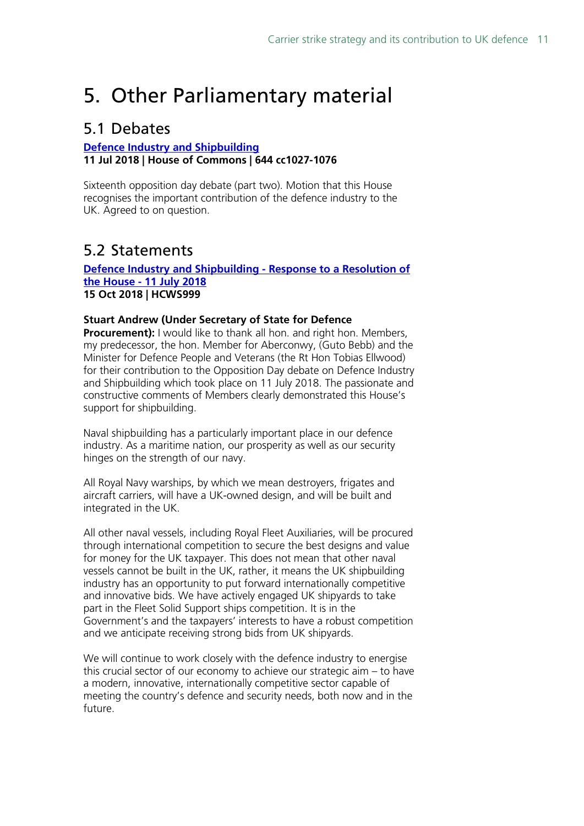## <span id="page-10-0"></span>5. Other Parliamentary material

### <span id="page-10-1"></span>5.1 Debates

### **[Defence Industry and](https://hansard.parliament.uk/pa/cm201719/cmhansrd/cm180711/debtext/180711-0003.htm#9785B1F5-5F19-4AFC-99AA-D2D64B09142F) Shipbuilding 11 Jul 2018 | House of Commons | 644 cc1027-1076**

Sixteenth opposition day debate (part two). Motion that this House recognises the important contribution of the defence industry to the UK. Agreed to on question.

### <span id="page-10-2"></span>5.2 Statements

### **[Defence Industry and Shipbuilding -](http://www.parliament.uk/written-questions-answers-statements/written-statement/Commons/2018-10-15/HCWS999) Response to a Resolution of the House - [11 July 2018](http://www.parliament.uk/written-questions-answers-statements/written-statement/Commons/2018-10-15/HCWS999) 15 Oct 2018 | HCWS999**

### **Stuart Andrew (Under Secretary of State for Defence**

**Procurement):** I would like to thank all hon. and right hon. Members, my predecessor, the hon. Member for Aberconwy, (Guto Bebb) and the Minister for Defence People and Veterans (the Rt Hon Tobias Ellwood) for their contribution to the Opposition Day debate on Defence Industry and Shipbuilding which took place on 11 July 2018. The passionate and constructive comments of Members clearly demonstrated this House's support for shipbuilding.

Naval shipbuilding has a particularly important place in our defence industry. As a maritime nation, our prosperity as well as our security hinges on the strength of our navy.

All Royal Navy warships, by which we mean destroyers, frigates and aircraft carriers, will have a UK-owned design, and will be built and integrated in the UK.

All other naval vessels, including Royal Fleet Auxiliaries, will be procured through international competition to secure the best designs and value for money for the UK taxpayer. This does not mean that other naval vessels cannot be built in the UK, rather, it means the UK shipbuilding industry has an opportunity to put forward internationally competitive and innovative bids. We have actively engaged UK shipyards to take part in the Fleet Solid Support ships competition. It is in the Government's and the taxpayers' interests to have a robust competition and we anticipate receiving strong bids from UK shipyards.

We will continue to work closely with the defence industry to energise this crucial sector of our economy to achieve our strategic aim – to have a modern, innovative, internationally competitive sector capable of meeting the country's defence and security needs, both now and in the future.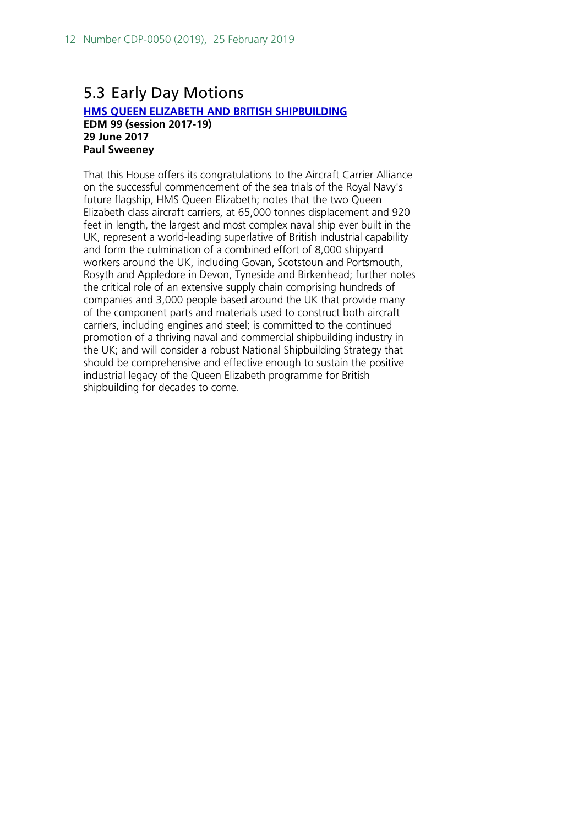### <span id="page-11-0"></span>5.3 Early Day Motions

### **[HMS QUEEN ELIZABETH AND BRITISH SHIPBUILDING](http://www.parliament.uk/edm/2017-19/99) EDM 99 (session 2017-19) 29 June 2017 Paul Sweeney**

That this House offers its congratulations to the Aircraft Carrier Alliance on the successful commencement of the sea trials of the Royal Navy's future flagship, HMS Queen Elizabeth; notes that the two Queen Elizabeth class aircraft carriers, at 65,000 tonnes displacement and 920 feet in length, the largest and most complex naval ship ever built in the UK, represent a world-leading superlative of British industrial capability and form the culmination of a combined effort of 8,000 shipyard workers around the UK, including Govan, Scotstoun and Portsmouth, Rosyth and Appledore in Devon, Tyneside and Birkenhead; further notes the critical role of an extensive supply chain comprising hundreds of companies and 3,000 people based around the UK that provide many of the component parts and materials used to construct both aircraft carriers, including engines and steel; is committed to the continued promotion of a thriving naval and commercial shipbuilding industry in the UK; and will consider a robust National Shipbuilding Strategy that should be comprehensive and effective enough to sustain the positive industrial legacy of the Queen Elizabeth programme for British shipbuilding for decades to come.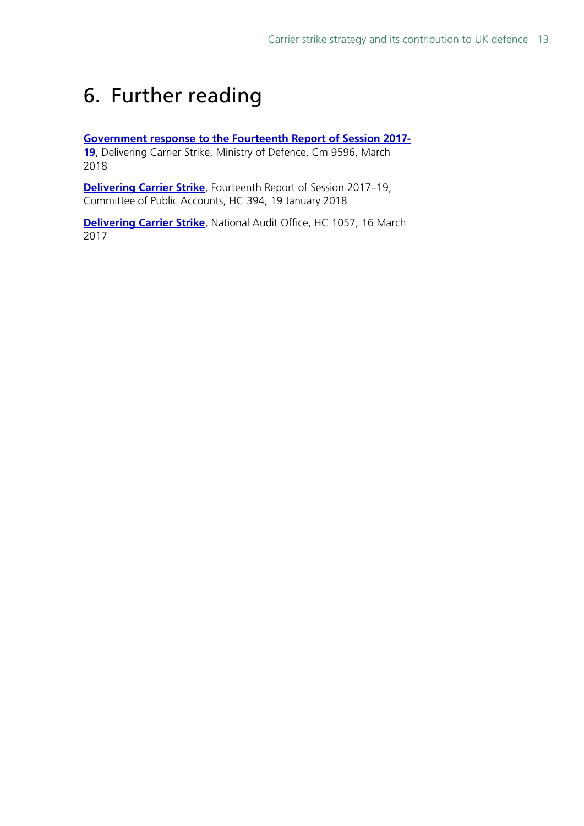## <span id="page-12-0"></span>6. Further reading

### **[Government response to the Fourteenth Report of Session 2017-](https://www.parliament.uk/documents/commons-committees/public-accounts/Cm-9596-Treasury-Minutes-march-2018.pdf#page=21)**

**[19](https://www.parliament.uk/documents/commons-committees/public-accounts/Cm-9596-Treasury-Minutes-march-2018.pdf#page=21)**, Delivering Carrier Strike, Ministry of Defence, Cm 9596, March 2018

**[Delivering Carrier Strike](https://publications.parliament.uk/pa/cm201719/cmselect/cmpubacc/394/394.pdf)**, Fourteenth Report of Session 2017–19, Committee of Public Accounts, HC 394, 19 January 2018

**[Delivering Carrier Strike](https://www.nao.org.uk/wp-content/uploads/2017/03/Delivering-Carrier-Strike.pdf)**, National Audit Office, HC 1057, 16 March 2017